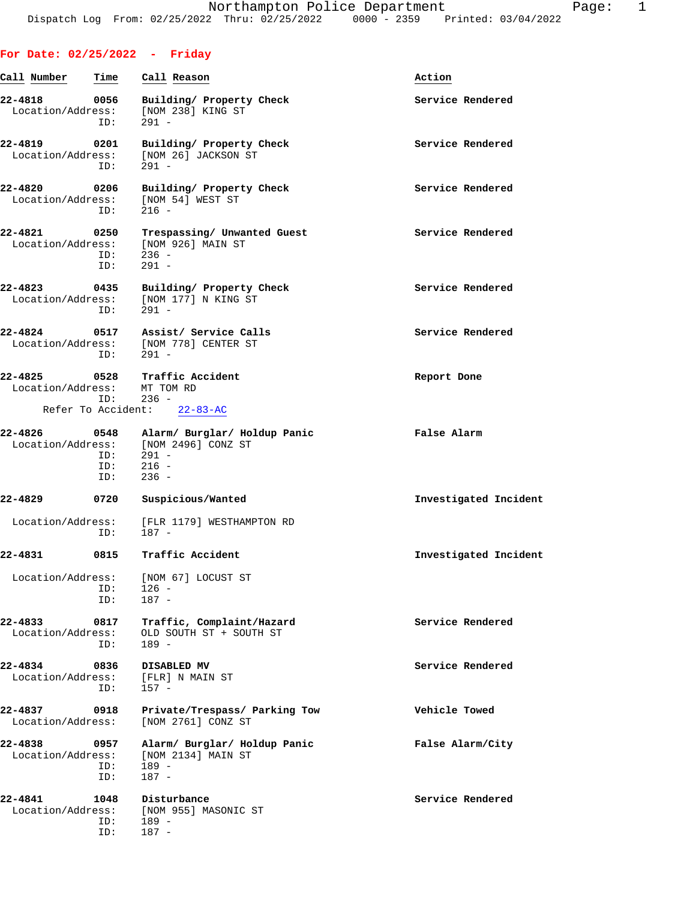| Call Number                      | Time                      | Call Reason                                                                                           | Action                |
|----------------------------------|---------------------------|-------------------------------------------------------------------------------------------------------|-----------------------|
| 22-4818 0056                     | ID:                       | Building/ Property Check<br>Location/Address: [NOM 238] KING ST<br>291 -                              | Service Rendered      |
| 22-4819 0201                     | ID:                       | Building/ Property Check<br>Location/Address: [NOM 26] JACKSON ST<br>$291 -$                          | Service Rendered      |
| 22-4820 0206                     | ID:                       | Building/ Property Check<br>Location/Address: [NOM 54] WEST ST<br>$216 -$                             | Service Rendered      |
| 22-4821 0250                     | ID:<br>ID:                | Trespassing/ Unwanted Guest<br>Location/Address: [NOM 926] MAIN ST<br>$236 -$<br>$291 -$              | Service Rendered      |
|                                  | ID:                       | 22-4823 0435 Building/ Property Check<br>Location/Address: [NOM 177] N KING ST<br>$291 -$             | Service Rendered      |
|                                  | ID:                       | 22-4824 0517 Assist/ Service Calls<br>Location/Address: [NOM 778] CENTER ST<br>291 -                  | Service Rendered      |
| Location/Address: MT TOM RD      | ID: 236 -                 | 22-4825 0528 Traffic Accident<br>Refer To Accident: 22-83-AC                                          | Report Done           |
|                                  |                           |                                                                                                       |                       |
|                                  | $ID: 291 -$<br>ID:<br>ID: | 22-4826 0548 Alarm/Burglar/Holdup Panic<br>Location/Address: [NOM 2496] CONZ ST<br>$216 -$<br>$236 -$ | False Alarm           |
| 22-4829                          | 0720                      | Suspicious/Wanted                                                                                     | Investigated Incident |
|                                  | ID: 187 -                 | Location/Address: [FLR 1179] WESTHAMPTON RD                                                           |                       |
| 22-4831 0815                     |                           | Traffic Accident                                                                                      | Investigated Incident |
| Location/Address:                | ID:<br>ID:                | (NOM 671 LOCUST ST<br>$126 -$<br>$187 -$                                                              |                       |
| $22 - 4833$<br>Location/Address: | 0817<br>ID:               | Traffic, Complaint/Hazard<br>OLD SOUTH ST + SOUTH ST<br>$189 -$                                       | Service Rendered      |
| 22-4834<br>Location/Address:     | 0836<br>ID:               | DISABLED MV<br>[FLR] N MAIN ST<br>$157 -$                                                             | Service Rendered      |
| 22-4837<br>Location/Address:     | 0918                      | Private/Trespass/ Parking Tow<br>[NOM 2761] CONZ ST                                                   | Vehicle Towed         |
| 22-4838<br>Location/Address:     | 0957<br>ID:<br>ID:        | Alarm/ Burglar/ Holdup Panic<br>[NOM 2134] MAIN ST<br>$189 -$<br>$187 -$                              | False Alarm/City      |
| 22-4841<br>Location/Address:     | 1048<br>ID:<br>ID:        | Disturbance<br>[NOM 955] MASONIC ST<br>189 -<br>$187 -$                                               | Service Rendered      |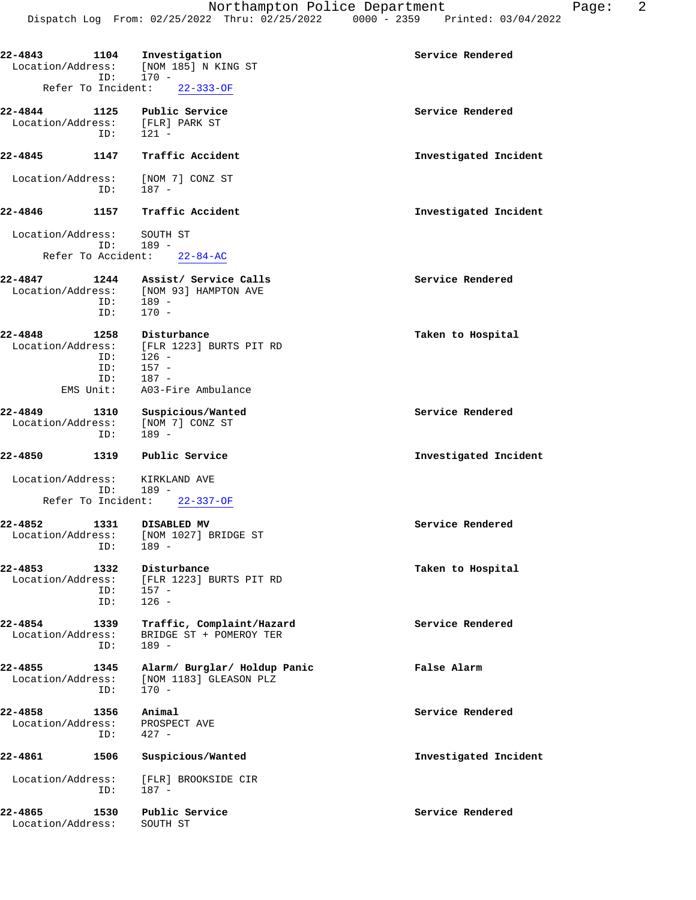**22-4843 1104 Investigation Service Rendered** Location/Address: [NOM 185] N KING ST ID: 170 - Refer To Incident: 22-333-OF **22-4844 1125 Public Service Service Rendered** Location/Address: [FLR] PARK ST ID: 121 - **22-4845 1147 Traffic Accident Investigated Incident** Location/Address: [NOM 7] CONZ ST ID: 187 - **22-4846 1157 Traffic Accident Investigated Incident** Location/Address: SOUTH ST ID: 189 - Refer To Accident: 22-84-AC **22-4847 1244 Assist/ Service Calls Service Rendered** Location/Address: [NOM 93] HAMPTON AVE ID: 189 - ID: 170 - **22-4848 1258 Disturbance Taken to Hospital** Location/Address: [FLR 1223] BURTS PIT RD ID: 126 - ID: 157 -<br>ID: 187 -187 - EMS Unit: A03-Fire Ambulance **22-4849 1310 Suspicious/Wanted Service Rendered** Location/Address: [NOM 7] CONZ ST ID: 189 - **22-4850 1319 Public Service Investigated Incident** Location/Address: KIRKLAND AVE ID: 189 - Refer To Incident: 22-337-OF **22-4852 1331 DISABLED MV Service Rendered** Location/Address: [NOM 1027] BRIDGE ST ID: 189 - **22-4853 1332 Disturbance Taken to Hospital** Location/Address: [FLR 1223] BURTS PIT RD ID: 157 - ID: 126 - **22-4854 1339 Traffic, Complaint/Hazard Service Rendered** Location/Address: BRIDGE ST + POMEROY TER ID: 189 - **22-4855 1345 Alarm/ Burglar/ Holdup Panic False Alarm** Location/Address: [NOM 1183] GLEASON PLZ ID: 170 - **22-4858 1356 Animal Service Rendered** Location/Address: PROSPECT AVE ID: 427 - **22-4861 1506 Suspicious/Wanted Investigated Incident** Location/Address: [FLR] BROOKSIDE CIR<br>ID: 187 - ID: 187 - **22-4865 1530 Public Service Service Rendered** Location/Address: SOUTH ST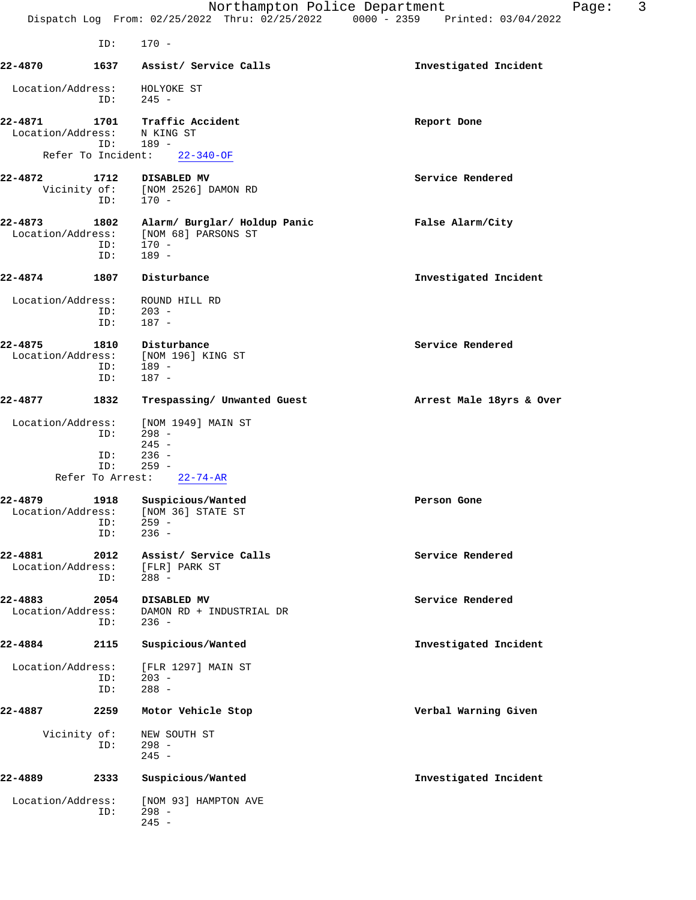|                              |                                | Northampton Police Department<br>Dispatch Log From: 02/25/2022 Thru: 02/25/2022 0000 - 2359 Printed: 03/04/2022 | 3<br>Page:               |
|------------------------------|--------------------------------|-----------------------------------------------------------------------------------------------------------------|--------------------------|
|                              | ID:                            | $170 -$                                                                                                         |                          |
| 22-4870                      | 1637                           | Assist/ Service Calls                                                                                           | Investigated Incident    |
| Location/Address:            | ID:                            | HOLYOKE ST<br>$245 -$                                                                                           |                          |
| 22-4871<br>Location/Address: | 1701<br>ID:                    | Traffic Accident<br>N KING ST<br>$189 -$                                                                        | Report Done              |
|                              | Refer To Incident:             | $22 - 340 - OF$                                                                                                 |                          |
| 22-4872                      | 1712<br>Vicinity of:<br>ID:    | DISABLED MV<br>[NOM 2526] DAMON RD<br>170 -                                                                     | Service Rendered         |
| 22-4873<br>Location/Address: | 1802<br>ID:<br>ID:             | Alarm/ Burglar/ Holdup Panic<br>[NOM 68] PARSONS ST<br>170 -<br>$189 -$                                         | False Alarm/City         |
| 22-4874                      | 1807                           | Disturbance                                                                                                     | Investigated Incident    |
| Location/Address:            | ID:<br>ID:                     | ROUND HILL RD<br>$203 -$<br>$187 -$                                                                             |                          |
| 22-4875<br>Location/Address: | 1810<br>ID:<br>ID:             | Disturbance<br>[NOM 196] KING ST<br>$189 -$<br>$187 -$                                                          | Service Rendered         |
| 22-4877                      | 1832                           | Trespassing/ Unwanted Guest                                                                                     | Arrest Male 18yrs & Over |
| Location/Address:            | ID:                            | [NOM 1949] MAIN ST<br>$298 -$<br>$245 -$                                                                        |                          |
|                              | ID:<br>ID:<br>Refer To Arrest: | $236 -$<br>$259 -$<br>$22 - 74 - AR$                                                                            |                          |
| 22-4879                      | 1918<br>ID:<br>ID:             | Suspicious/Wanted<br>Location/Address: [NOM 36] STATE ST<br>$259 -$<br>$236 -$                                  | Person Gone              |
| 22-4881<br>Location/Address: | 2012<br>ID:                    | Assist/ Service Calls<br>[FLR] PARK ST<br>$288 -$                                                               | Service Rendered         |
| 22-4883<br>Location/Address: | 2054<br>ID:                    | DISABLED MV<br>DAMON RD + INDUSTRIAL DR<br>$236 -$                                                              | Service Rendered         |
| 22-4884                      | 2115                           | Suspicious/Wanted                                                                                               | Investigated Incident    |
| Location/Address:            | ID:<br>ID:                     | [FLR 1297] MAIN ST<br>$203 -$<br>$288 -$                                                                        |                          |
| 22-4887                      | 2259                           | Motor Vehicle Stop                                                                                              | Verbal Warning Given     |
|                              | Vicinity of:<br>ID:            | NEW SOUTH ST<br>$298 -$<br>$245 -$                                                                              |                          |
| 22-4889                      | 2333                           | Suspicious/Wanted                                                                                               | Investigated Incident    |
| Location/Address:            | ID:                            | [NOM 93] HAMPTON AVE<br>$298 -$<br>$245 -$                                                                      |                          |
|                              |                                |                                                                                                                 |                          |